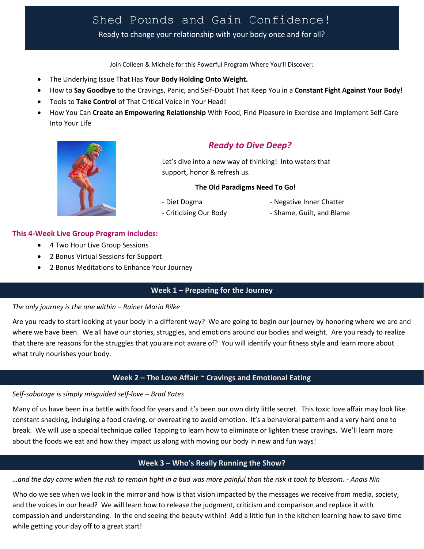# Shed Pounds and Gain Confidence!

Ready to change your relationship with your body once and for all?

Join Colleen & Michele for this Powerful Program Where You'll Discover:

- The Underlying Issue That Has **Your Body Holding Onto Weight.**
- How to **Say Goodbye** to the Cravings, Panic, and Self-Doubt That Keep You in a **Constant Fight Against Your Body**!
- Tools to **Take Control** of That Critical Voice in Your Head!
- How You Can **Create an Empowering Relationship** With Food, Find Pleasure in Exercise and Implement Self-Care Into Your Life



# *Ready to Dive Deep?*

Let's dive into a new way of thinking! Into waters that support, honor & refresh us.

#### **The Old Paradigms Need To Go!**

- 
- Diet Dogma Negative Inner Chatter
- 
- Criticizing Our Body  **Shame, Guilt, and Blame**

#### **This 4-Week Live Group Program includes:**

- 4 Two Hour Live Group Sessions
- 2 Bonus Virtual Sessions for Support
- 2 Bonus Meditations to Enhance Your Journey

#### **Week 1 – Preparing for the Journey**

#### *The only journey is the one within – Rainer Maria Rilke*

Are you ready to start looking at your body in a different way? We are going to begin our journey by honoring where we are and where we have been. We all have our stories, struggles, and emotions around our bodies and weight. Are you ready to realize that there are reasons for the struggles that you are not aware of? You will identify your fitness style and learn more about what truly nourishes your body.

#### **Week 2 – The Love Affair ~ Cravings and Emotional Eating**

#### *Self-sabotage is simply misguided self-love – Brad Yates*

Many of us have been in a battle with food for years and it's been our own dirty little secret. This toxic love affair may look like constant snacking, indulging a food craving, or overeating to avoid emotion. It's a behavioral pattern and a very hard one to break. We will use a special technique called Tapping to learn how to eliminate or lighten these cravings. We'll learn more about the foods we eat and how they impact us along with moving our body in new and fun ways!

## **Week 3 – Who's Really Running the Show?**

*…and the day came when the risk to remain tight in a bud was more painful than the risk it took to blossom. - Anais Nin*

Who do we see when we look in the mirror and how is that vision impacted by the messages we receive from media, society, and the voices in our head? We will learn how to release the judgment, criticism and comparison and replace it with compassion and understanding. In the end seeing the beauty within! Add a little fun in the kitchen learning how to save time while getting your day off to a great start!